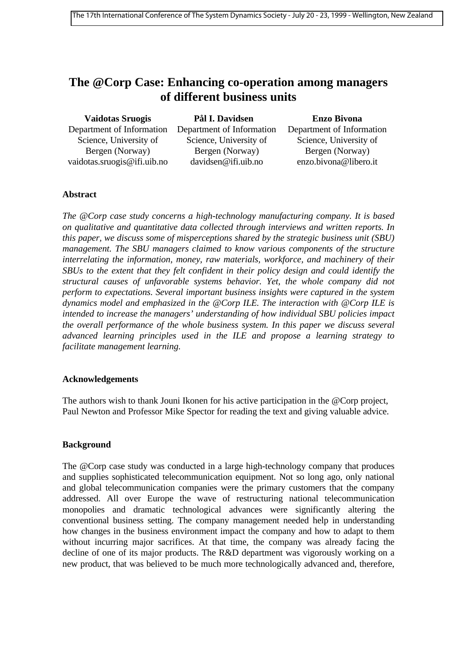# **The @Corp Case: Enhancing co-operation among managers of different business units**

| <b>Vaidotas Sruogis</b>     | Pål I. Davidsen           | <b>Enzo Bivona</b>        |
|-----------------------------|---------------------------|---------------------------|
| Department of Information   | Department of Information | Department of Information |
| Science, University of      | Science, University of    | Science, University of    |
| Bergen (Norway)             | Bergen (Norway)           | Bergen (Norway)           |
| vaidotas.sruogis@ifi.uib.no | davidsen@ifi.uib.no       | enzo.bivona@libero.it     |

## **Abstract**

*The @Corp case study concerns a high-technology manufacturing company. It is based on qualitative and quantitative data collected through interviews and written reports. In this paper, we discuss some of misperceptions shared by the strategic business unit (SBU) management. The SBU managers claimed to know various components of the structure interrelating the information, money, raw materials, workforce, and machinery of their SBUs to the extent that they felt confident in their policy design and could identify the structural causes of unfavorable systems behavior. Yet, the whole company did not perform to expectations. Several important business insights were captured in the system dynamics model and emphasized in the @Corp ILE. The interaction with @Corp ILE is intended to increase the managers' understanding of how individual SBU policies impact the overall performance of the whole business system. In this paper we discuss several advanced learning principles used in the ILE and propose a learning strategy to facilitate management learning.*

## **Acknowledgements**

The authors wish to thank Jouni Ikonen for his active participation in the @Corp project, Paul Newton and Professor Mike Spector for reading the text and giving valuable advice.

## **Background**

The @Corp case study was conducted in a large high-technology company that produces and supplies sophisticated telecommunication equipment. Not so long ago, only national and global telecommunication companies were the primary customers that the company addressed. All over Europe the wave of restructuring national telecommunication monopolies and dramatic technological advances were significantly altering the conventional business setting. The company management needed help in understanding how changes in the business environment impact the company and how to adapt to them without incurring major sacrifices. At that time, the company was already facing the decline of one of its major products. The R&D department was vigorously working on a new product, that was believed to be much more technologically advanced and, therefore,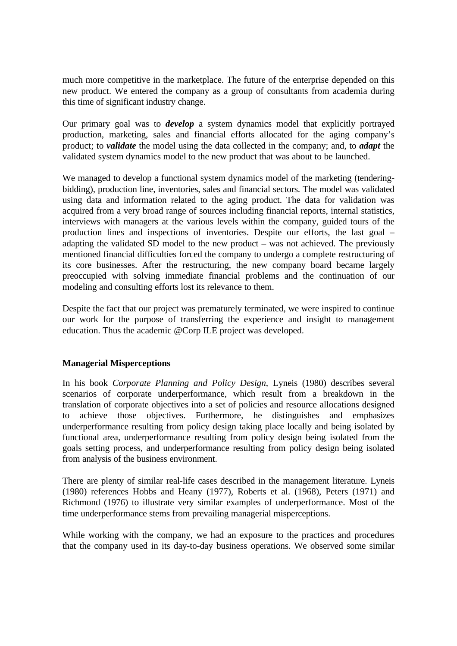much more competitive in the marketplace. The future of the enterprise depended on this new product. We entered the company as a group of consultants from academia during this time of significant industry change.

Our primary goal was to *develop* a system dynamics model that explicitly portrayed production, marketing, sales and financial efforts allocated for the aging company's product; to *validate* the model using the data collected in the company; and, to *adapt* the validated system dynamics model to the new product that was about to be launched.

We managed to develop a functional system dynamics model of the marketing (tenderingbidding), production line, inventories, sales and financial sectors. The model was validated using data and information related to the aging product. The data for validation was acquired from a very broad range of sources including financial reports, internal statistics, interviews with managers at the various levels within the company, guided tours of the production lines and inspections of inventories. Despite our efforts, the last goal – adapting the validated SD model to the new product – was not achieved. The previously mentioned financial difficulties forced the company to undergo a complete restructuring of its core businesses. After the restructuring, the new company board became largely preoccupied with solving immediate financial problems and the continuation of our modeling and consulting efforts lost its relevance to them.

Despite the fact that our project was prematurely terminated, we were inspired to continue our work for the purpose of transferring the experience and insight to management education. Thus the academic @Corp ILE project was developed.

## **Managerial Misperceptions**

In his book *Corporate Planning and Policy Design*, Lyneis (1980) describes several scenarios of corporate underperformance, which result from a breakdown in the translation of corporate objectives into a set of policies and resource allocations designed to achieve those objectives. Furthermore, he distinguishes and emphasizes underperformance resulting from policy design taking place locally and being isolated by functional area, underperformance resulting from policy design being isolated from the goals setting process, and underperformance resulting from policy design being isolated from analysis of the business environment.

There are plenty of similar real-life cases described in the management literature. Lyneis (1980) references Hobbs and Heany (1977), Roberts et al. (1968), Peters (1971) and Richmond (1976) to illustrate very similar examples of underperformance. Most of the time underperformance stems from prevailing managerial misperceptions.

While working with the company, we had an exposure to the practices and procedures that the company used in its day-to-day business operations. We observed some similar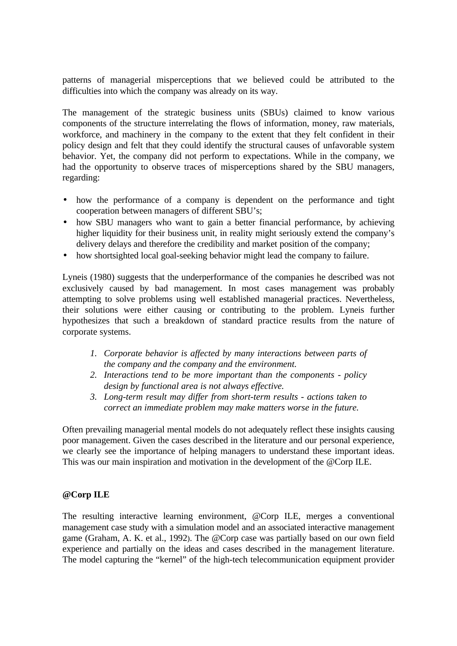patterns of managerial misperceptions that we believed could be attributed to the difficulties into which the company was already on its way.

The management of the strategic business units (SBUs) claimed to know various components of the structure interrelating the flows of information, money, raw materials, workforce, and machinery in the company to the extent that they felt confident in their policy design and felt that they could identify the structural causes of unfavorable system behavior. Yet, the company did not perform to expectations. While in the company, we had the opportunity to observe traces of misperceptions shared by the SBU managers, regarding:

- how the performance of a company is dependent on the performance and tight cooperation between managers of different SBU's;
- how SBU managers who want to gain a better financial performance, by achieving higher liquidity for their business unit, in reality might seriously extend the company's delivery delays and therefore the credibility and market position of the company;
- how shortsighted local goal-seeking behavior might lead the company to failure.

Lyneis (1980) suggests that the underperformance of the companies he described was not exclusively caused by bad management. In most cases management was probably attempting to solve problems using well established managerial practices. Nevertheless, their solutions were either causing or contributing to the problem. Lyneis further hypothesizes that such a breakdown of standard practice results from the nature of corporate systems.

- *1. Corporate behavior is affected by many interactions between parts of the company and the company and the environment.*
- *2. Interactions tend to be more important than the components policy design by functional area is not always effective.*
- *3. Long-term result may differ from short-term results actions taken to correct an immediate problem may make matters worse in the future.*

Often prevailing managerial mental models do not adequately reflect these insights causing poor management. Given the cases described in the literature and our personal experience, we clearly see the importance of helping managers to understand these important ideas. This was our main inspiration and motivation in the development of the @Corp ILE.

## **@Corp ILE**

The resulting interactive learning environment, @Corp ILE, merges a conventional management case study with a simulation model and an associated interactive management game (Graham, A. K. et al., 1992). The @Corp case was partially based on our own field experience and partially on the ideas and cases described in the management literature. The model capturing the "kernel" of the high-tech telecommunication equipment provider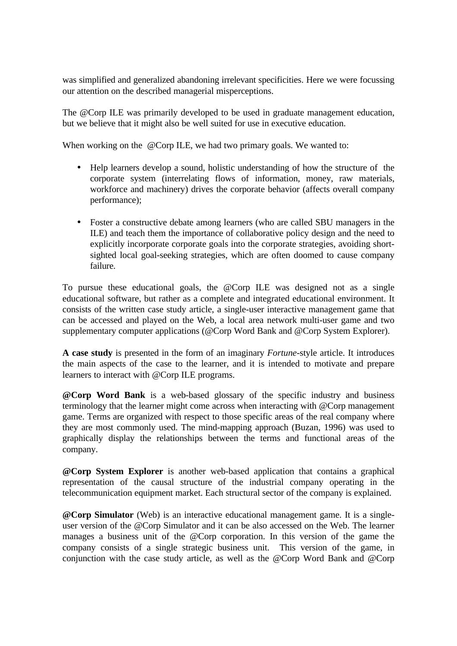was simplified and generalized abandoning irrelevant specificities. Here we were focussing our attention on the described managerial misperceptions.

The @Corp ILE was primarily developed to be used in graduate management education, but we believe that it might also be well suited for use in executive education.

When working on the @Corp ILE, we had two primary goals. We wanted to:

- Help learners develop a sound, holistic understanding of how the structure of the corporate system (interrelating flows of information, money, raw materials, workforce and machinery) drives the corporate behavior (affects overall company performance);
- Foster a constructive debate among learners (who are called SBU managers in the ILE) and teach them the importance of collaborative policy design and the need to explicitly incorporate corporate goals into the corporate strategies, avoiding shortsighted local goal-seeking strategies, which are often doomed to cause company failure.

To pursue these educational goals, the @Corp ILE was designed not as a single educational software, but rather as a complete and integrated educational environment. It consists of the written case study article, a single-user interactive management game that can be accessed and played on the Web, a local area network multi-user game and two supplementary computer applications (@Corp Word Bank and @Corp System Explorer).

**A case study** is presented in the form of an imaginary *Fortune*-style article. It introduces the main aspects of the case to the learner, and it is intended to motivate and prepare learners to interact with @Corp ILE programs.

**@Corp Word Bank** is a web-based glossary of the specific industry and business terminology that the learner might come across when interacting with @Corp management game. Terms are organized with respect to those specific areas of the real company where they are most commonly used. The mind-mapping approach (Buzan, 1996) was used to graphically display the relationships between the terms and functional areas of the company.

**@Corp System Explorer** is another web-based application that contains a graphical representation of the causal structure of the industrial company operating in the telecommunication equipment market. Each structural sector of the company is explained.

**@Corp Simulator** (Web) is an interactive educational management game. It is a singleuser version of the @Corp Simulator and it can be also accessed on the Web. The learner manages a business unit of the @Corp corporation. In this version of the game the company consists of a single strategic business unit. This version of the game, in conjunction with the case study article, as well as the @Corp Word Bank and @Corp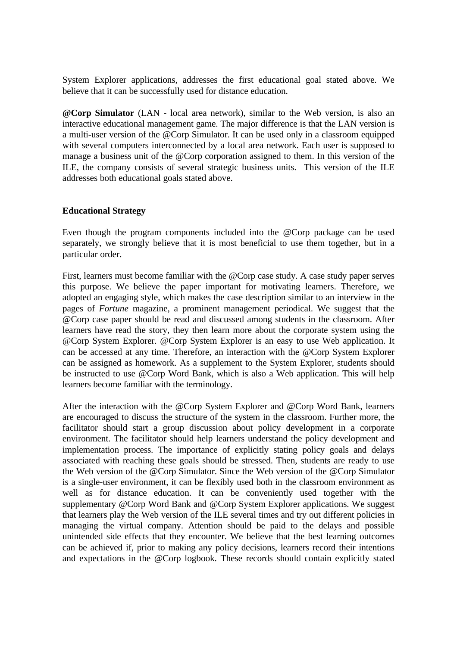System Explorer applications, addresses the first educational goal stated above. We believe that it can be successfully used for distance education.

**@Corp Simulator** (LAN - local area network), similar to the Web version, is also an interactive educational management game. The major difference is that the LAN version is a multi-user version of the @Corp Simulator. It can be used only in a classroom equipped with several computers interconnected by a local area network. Each user is supposed to manage a business unit of the @Corp corporation assigned to them. In this version of the ILE, the company consists of several strategic business units. This version of the ILE addresses both educational goals stated above.

## **Educational Strategy**

Even though the program components included into the @Corp package can be used separately, we strongly believe that it is most beneficial to use them together, but in a particular order.

First, learners must become familiar with the @Corp case study. A case study paper serves this purpose. We believe the paper important for motivating learners. Therefore, we adopted an engaging style, which makes the case description similar to an interview in the pages of *Fortune* magazine, a prominent management periodical. We suggest that the @Corp case paper should be read and discussed among students in the classroom. After learners have read the story, they then learn more about the corporate system using the @Corp System Explorer. @Corp System Explorer is an easy to use Web application. It can be accessed at any time. Therefore, an interaction with the @Corp System Explorer can be assigned as homework. As a supplement to the System Explorer, students should be instructed to use @Corp Word Bank, which is also a Web application. This will help learners become familiar with the terminology.

After the interaction with the @Corp System Explorer and @Corp Word Bank, learners are encouraged to discuss the structure of the system in the classroom. Further more, the facilitator should start a group discussion about policy development in a corporate environment. The facilitator should help learners understand the policy development and implementation process. The importance of explicitly stating policy goals and delays associated with reaching these goals should be stressed. Then, students are ready to use the Web version of the @Corp Simulator. Since the Web version of the @Corp Simulator is a single-user environment, it can be flexibly used both in the classroom environment as well as for distance education. It can be conveniently used together with the supplementary @Corp Word Bank and @Corp System Explorer applications. We suggest that learners play the Web version of the ILE several times and try out different policies in managing the virtual company. Attention should be paid to the delays and possible unintended side effects that they encounter. We believe that the best learning outcomes can be achieved if, prior to making any policy decisions, learners record their intentions and expectations in the @Corp logbook. These records should contain explicitly stated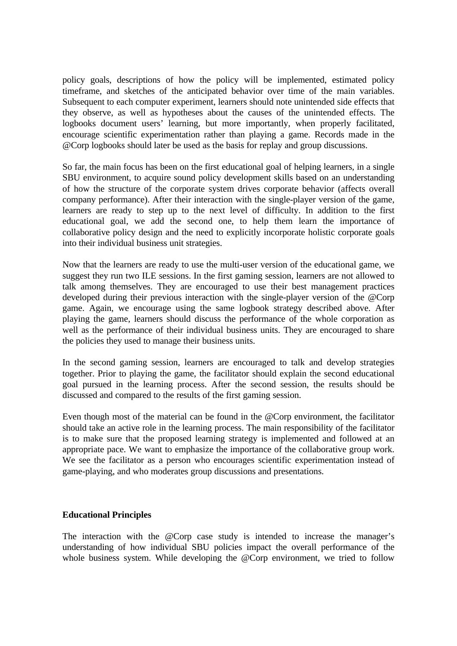policy goals, descriptions of how the policy will be implemented, estimated policy timeframe, and sketches of the anticipated behavior over time of the main variables. Subsequent to each computer experiment, learners should note unintended side effects that they observe, as well as hypotheses about the causes of the unintended effects. The logbooks document users' learning, but more importantly, when properly facilitated, encourage scientific experimentation rather than playing a game. Records made in the @Corp logbooks should later be used as the basis for replay and group discussions.

So far, the main focus has been on the first educational goal of helping learners, in a single SBU environment, to acquire sound policy development skills based on an understanding of how the structure of the corporate system drives corporate behavior (affects overall company performance). After their interaction with the single-player version of the game, learners are ready to step up to the next level of difficulty. In addition to the first educational goal, we add the second one, to help them learn the importance of collaborative policy design and the need to explicitly incorporate holistic corporate goals into their individual business unit strategies.

Now that the learners are ready to use the multi-user version of the educational game, we suggest they run two ILE sessions. In the first gaming session, learners are not allowed to talk among themselves. They are encouraged to use their best management practices developed during their previous interaction with the single-player version of the @Corp game. Again, we encourage using the same logbook strategy described above. After playing the game, learners should discuss the performance of the whole corporation as well as the performance of their individual business units. They are encouraged to share the policies they used to manage their business units.

In the second gaming session, learners are encouraged to talk and develop strategies together. Prior to playing the game, the facilitator should explain the second educational goal pursued in the learning process. After the second session, the results should be discussed and compared to the results of the first gaming session.

Even though most of the material can be found in the @Corp environment, the facilitator should take an active role in the learning process. The main responsibility of the facilitator is to make sure that the proposed learning strategy is implemented and followed at an appropriate pace. We want to emphasize the importance of the collaborative group work. We see the facilitator as a person who encourages scientific experimentation instead of game-playing, and who moderates group discussions and presentations.

## **Educational Principles**

The interaction with the @Corp case study is intended to increase the manager's understanding of how individual SBU policies impact the overall performance of the whole business system. While developing the @Corp environment, we tried to follow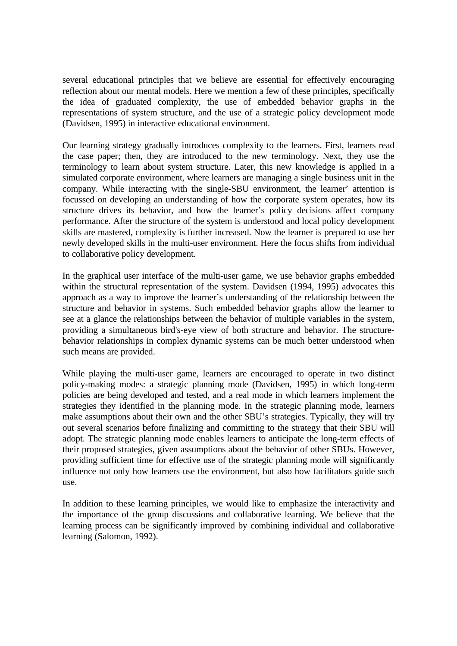several educational principles that we believe are essential for effectively encouraging reflection about our mental models. Here we mention a few of these principles, specifically the idea of graduated complexity, the use of embedded behavior graphs in the representations of system structure, and the use of a strategic policy development mode (Davidsen, 1995) in interactive educational environment.

Our learning strategy gradually introduces complexity to the learners. First, learners read the case paper; then, they are introduced to the new terminology. Next, they use the terminology to learn about system structure. Later, this new knowledge is applied in a simulated corporate environment, where learners are managing a single business unit in the company. While interacting with the single-SBU environment, the learner' attention is focussed on developing an understanding of how the corporate system operates, how its structure drives its behavior, and how the learner's policy decisions affect company performance. After the structure of the system is understood and local policy development skills are mastered, complexity is further increased. Now the learner is prepared to use her newly developed skills in the multi-user environment. Here the focus shifts from individual to collaborative policy development.

In the graphical user interface of the multi-user game, we use behavior graphs embedded within the structural representation of the system. Davidsen (1994, 1995) advocates this approach as a way to improve the learner's understanding of the relationship between the structure and behavior in systems. Such embedded behavior graphs allow the learner to see at a glance the relationships between the behavior of multiple variables in the system, providing a simultaneous bird's-eye view of both structure and behavior. The structurebehavior relationships in complex dynamic systems can be much better understood when such means are provided.

While playing the multi-user game, learners are encouraged to operate in two distinct policy-making modes: a strategic planning mode (Davidsen, 1995) in which long-term policies are being developed and tested, and a real mode in which learners implement the strategies they identified in the planning mode. In the strategic planning mode, learners make assumptions about their own and the other SBU's strategies. Typically, they will try out several scenarios before finalizing and committing to the strategy that their SBU will adopt. The strategic planning mode enables learners to anticipate the long-term effects of their proposed strategies, given assumptions about the behavior of other SBUs. However, providing sufficient time for effective use of the strategic planning mode will significantly influence not only how learners use the environment, but also how facilitators guide such use.

In addition to these learning principles, we would like to emphasize the interactivity and the importance of the group discussions and collaborative learning. We believe that the learning process can be significantly improved by combining individual and collaborative learning (Salomon, 1992).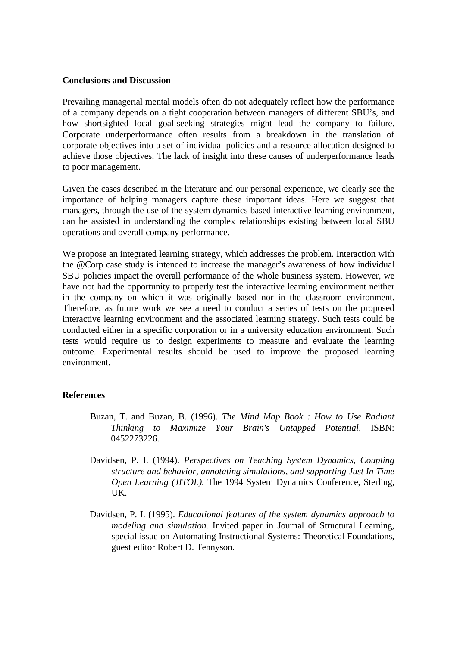#### **Conclusions and Discussion**

Prevailing managerial mental models often do not adequately reflect how the performance of a company depends on a tight cooperation between managers of different SBU's, and how shortsighted local goal-seeking strategies might lead the company to failure. Corporate underperformance often results from a breakdown in the translation of corporate objectives into a set of individual policies and a resource allocation designed to achieve those objectives. The lack of insight into these causes of underperformance leads to poor management.

Given the cases described in the literature and our personal experience, we clearly see the importance of helping managers capture these important ideas. Here we suggest that managers, through the use of the system dynamics based interactive learning environment, can be assisted in understanding the complex relationships existing between local SBU operations and overall company performance.

We propose an integrated learning strategy, which addresses the problem. Interaction with the @Corp case study is intended to increase the manager's awareness of how individual SBU policies impact the overall performance of the whole business system. However, we have not had the opportunity to properly test the interactive learning environment neither in the company on which it was originally based nor in the classroom environment. Therefore, as future work we see a need to conduct a series of tests on the proposed interactive learning environment and the associated learning strategy. Such tests could be conducted either in a specific corporation or in a university education environment. Such tests would require us to design experiments to measure and evaluate the learning outcome. Experimental results should be used to improve the proposed learning environment.

#### **References**

- Buzan, T. and Buzan, B. (1996). *The Mind Map Book : How to Use Radiant Thinking to Maximize Your Brain's Untapped Potential*, ISBN: 0452273226.
- Davidsen, P. I. (1994). *Perspectives on Teaching System Dynamics, Coupling structure and behavior, annotating simulations, and supporting Just In Time Open Learning (JITOL).* The 1994 System Dynamics Conference, Sterling, UK.
- Davidsen, P. I. (1995). *Educational features of the system dynamics approach to modeling and simulation.* Invited paper in Journal of Structural Learning, special issue on Automating Instructional Systems: Theoretical Foundations, guest editor Robert D. Tennyson.